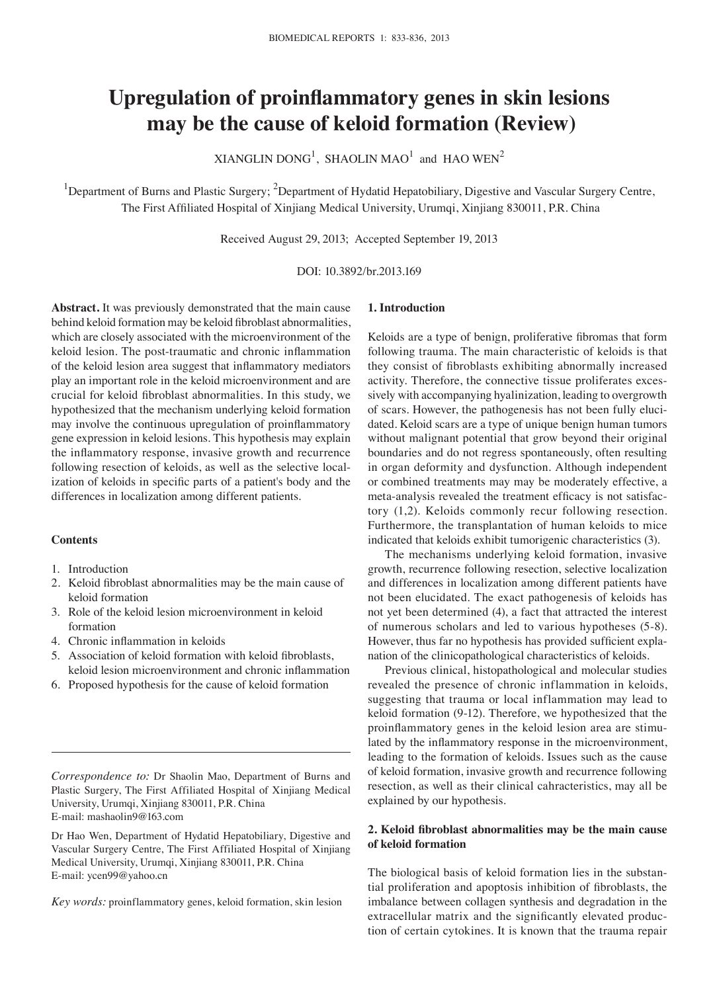# **Upregulation of proinflammatory genes in skin lesions may be the cause of keloid formation (Review)**

XIANGLIN  $DOMG<sup>1</sup>$ , SHAOLIN MAO<sup>1</sup> and HAO WEN<sup>2</sup>

<sup>1</sup>Department of Burns and Plastic Surgery; <sup>2</sup>Department of Hydatid Hepatobiliary, Digestive and Vascular Surgery Centre, The First Affiliated Hospital of Xinjiang Medical University, Urumqi, Xinjiang 830011, P.R. China

Received August 29, 2013; Accepted September 19, 2013

#### DOI: 10.3892/br.2013.169

**Abstract.** It was previously demonstrated that the main cause behind keloid formation may be keloid fibroblast abnormalities, which are closely associated with the microenvironment of the keloid lesion. The post-traumatic and chronic inflammation of the keloid lesion area suggest that inflammatory mediators play an important role in the keloid microenvironment and are crucial for keloid fibroblast abnormalities. In this study, we hypothesized that the mechanism underlying keloid formation may involve the continuous upregulation of proinflammatory gene expression in keloid lesions. This hypothesis may explain the inflammatory response, invasive growth and recurrence following resection of keloids, as well as the selective localization of keloids in specific parts of a patient's body and the differences in localization among different patients.

### **Contents**

- 1. Introduction
- 2. Keloid fibroblast abnormalities may be the main cause of keloid formation
- 3. Role of the keloid lesion microenvironment in keloid formation
- 4. Chronic inflammation in keloids
- 5. Association of keloid formation with keloid fibroblasts, keloid lesion microenvironment and chronic inflammation
- 6. Proposed hypothesis for the cause of keloid formation

*Correspondence to:* Dr Shaolin Mao, Department of Burns and Plastic Surgery, The First Affiliated Hospital of Xinjiang Medical University, Urumqi, Xinjiang 830011, P.R. China E-mail: mashaolin9@163.com

Dr Hao Wen, Department of Hydatid Hepatobiliary, Digestive and Vascular Surgery Centre, The First Affiliated Hospital of Xinjiang Medical University, Urumqi, Xinjiang 830011, P.R. China E-mail: ycen99@yahoo.cn

*Key words:* proinflammatory genes, keloid formation, skin lesion

## **1. Introduction**

Keloids are a type of benign, proliferative fibromas that form following trauma. The main characteristic of keloids is that they consist of fibroblasts exhibiting abnormally increased activity. Therefore, the connective tissue proliferates excessively with accompanying hyalinization, leading to overgrowth of scars. However, the pathogenesis has not been fully elucidated. Keloid scars are a type of unique benign human tumors without malignant potential that grow beyond their original boundaries and do not regress spontaneously, often resulting in organ deformity and dysfunction. Although independent or combined treatments may may be moderately effective, a meta-analysis revealed the treatment efficacy is not satisfactory (1,2). Keloids commonly recur following resection. Furthermore, the transplantation of human keloids to mice indicated that keloids exhibit tumorigenic characteristics (3).

The mechanisms underlying keloid formation, invasive growth, recurrence following resection, selective localization and differences in localization among different patients have not been elucidated. The exact pathogenesis of keloids has not yet been determined (4), a fact that attracted the interest of numerous scholars and led to various hypotheses (5-8). However, thus far no hypothesis has provided sufficient explanation of the clinicopathological characteristics of keloids.

Previous clinical, histopathological and molecular studies revealed the presence of chronic inflammation in keloids, suggesting that trauma or local inflammation may lead to keloid formation (9-12). Therefore, we hypothesized that the proinflammatory genes in the keloid lesion area are stimulated by the inflammatory response in the microenvironment, leading to the formation of keloids. Issues such as the cause of keloid formation, invasive growth and recurrence following resection, as well as their clinical cahracteristics, may all be explained by our hypothesis.

## **2. Keloid fibroblast abnormalities may be the main cause of keloid formation**

The biological basis of keloid formation lies in the substantial proliferation and apoptosis inhibition of fibroblasts, the imbalance between collagen synthesis and degradation in the extracellular matrix and the significantly elevated production of certain cytokines. It is known that the trauma repair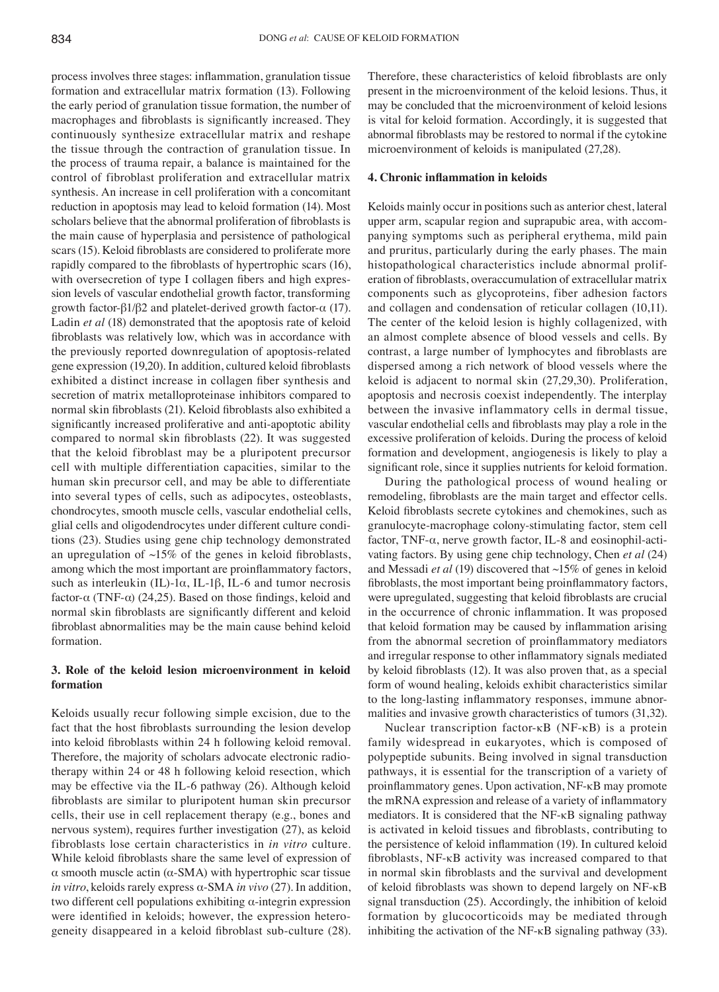process involves three stages: inflammation, granulation tissue formation and extracellular matrix formation (13). Following the early period of granulation tissue formation, the number of macrophages and fibroblasts is significantly increased. They continuously synthesize extracellular matrix and reshape the tissue through the contraction of granulation tissue. In the process of trauma repair, a balance is maintained for the control of fibroblast proliferation and extracellular matrix synthesis. An increase in cell proliferation with a concomitant reduction in apoptosis may lead to keloid formation (14). Most scholars believe that the abnormal proliferation of fibroblasts is the main cause of hyperplasia and persistence of pathological scars (15). Keloid fibroblasts are considered to proliferate more rapidly compared to the fibroblasts of hypertrophic scars (16), with oversecretion of type I collagen fibers and high expression levels of vascular endothelial growth factor, transforming growth factor-β1/β2 and platelet-derived growth factor- $α$  (17). Ladin *et al* (18) demonstrated that the apoptosis rate of keloid fibroblasts was relatively low, which was in accordance with the previously reported downregulation of apoptosis-related gene expression (19,20). In addition, cultured keloid fibroblasts exhibited a distinct increase in collagen fiber synthesis and secretion of matrix metalloproteinase inhibitors compared to normal skin fibroblasts (21). Keloid fibroblasts also exhibited a significantly increased proliferative and anti-apoptotic ability compared to normal skin fibroblasts (22). It was suggested that the keloid fibroblast may be a pluripotent precursor cell with multiple differentiation capacities, similar to the human skin precursor cell, and may be able to differentiate into several types of cells, such as adipocytes, osteoblasts, chondrocytes, smooth muscle cells, vascular endothelial cells, glial cells and oligodendrocytes under different culture conditions (23). Studies using gene chip technology demonstrated an upregulation of  $\sim$ 15% of the genes in keloid fibroblasts, among which the most important are proinflammatory factors, such as interleukin (IL)-1 $\alpha$ , IL-1 $\beta$ , IL-6 and tumor necrosis factor-α (TNF-α) (24,25). Based on those findings, keloid and normal skin fibroblasts are significantly different and keloid fibroblast abnormalities may be the main cause behind keloid formation.

## **3. Role of the keloid lesion microenvironment in keloid formation**

Keloids usually recur following simple excision, due to the fact that the host fibroblasts surrounding the lesion develop into keloid fibroblasts within 24 h following keloid removal. Therefore, the majority of scholars advocate electronic radiotherapy within 24 or 48 h following keloid resection, which may be effective via the IL-6 pathway (26). Although keloid fibroblasts are similar to pluripotent human skin precursor cells, their use in cell replacement therapy (e.g., bones and nervous system), requires further investigation (27), as keloid fibroblasts lose certain characteristics in *in vitro* culture. While keloid fibroblasts share the same level of expression of α smooth muscle actin (α-SMA) with hypertrophic scar tissue *in vitro*, keloids rarely express α-SMA *in vivo* (27). In addition, two different cell populations exhibiting α-integrin expression were identified in keloids; however, the expression heterogeneity disappeared in a keloid fibroblast sub-culture (28). Therefore, these characteristics of keloid fibroblasts are only present in the microenvironment of the keloid lesions. Thus, it may be concluded that the microenvironment of keloid lesions is vital for keloid formation. Accordingly, it is suggested that abnormal fibroblasts may be restored to normal if the cytokine microenvironment of keloids is manipulated (27,28).

### **4. Chronic inflammation in keloids**

Keloids mainly occur in positions such as anterior chest, lateral upper arm, scapular region and suprapubic area, with accompanying symptoms such as peripheral erythema, mild pain and pruritus, particularly during the early phases. The main histopathological characteristics include abnormal proliferation of fibroblasts, overaccumulation of extracellular matrix components such as glycoproteins, fiber adhesion factors and collagen and condensation of reticular collagen (10,11). The center of the keloid lesion is highly collagenized, with an almost complete absence of blood vessels and cells. By contrast, a large number of lymphocytes and fibroblasts are dispersed among a rich network of blood vessels where the keloid is adjacent to normal skin (27,29,30). Proliferation, apoptosis and necrosis coexist independently. The interplay between the invasive inflammatory cells in dermal tissue, vascular endothelial cells and fibroblasts may play a role in the excessive proliferation of keloids. During the process of keloid formation and development, angiogenesis is likely to play a significant role, since it supplies nutrients for keloid formation.

During the pathological process of wound healing or remodeling, fibroblasts are the main target and effector cells. Keloid fibroblasts secrete cytokines and chemokines, such as granulocyte-macrophage colony-stimulating factor, stem cell factor, TNF-α, nerve growth factor, IL-8 and eosinophil-activating factors. By using gene chip technology, Chen *et al* (24) and Messadi *et al* (19) discovered that ~15% of genes in keloid fibroblasts, the most important being proinflammatory factors, were upregulated, suggesting that keloid fibroblasts are crucial in the occurrence of chronic inflammation. It was proposed that keloid formation may be caused by inflammation arising from the abnormal secretion of proinflammatory mediators and irregular response to other inflammatory signals mediated by keloid fibroblasts (12). It was also proven that, as a special form of wound healing, keloids exhibit characteristics similar to the long‑lasting inflammatory responses, immune abnormalities and invasive growth characteristics of tumors (31,32).

Nuclear transcription factor-κB (NF-κB) is a protein family widespread in eukaryotes, which is composed of polypeptide subunits. Being involved in signal transduction pathways, it is essential for the transcription of a variety of proinflammatory genes. Upon activation, NF‑κB may promote the mRNA expression and release of a variety of inflammatory mediators. It is considered that the NF-κB signaling pathway is activated in keloid tissues and fibroblasts, contributing to the persistence of keloid inflammation (19). In cultured keloid fibroblasts, NF‑κB activity was increased compared to that in normal skin fibroblasts and the survival and development of keloid fibroblasts was shown to depend largely on NF-κB signal transduction (25). Accordingly, the inhibition of keloid formation by glucocorticoids may be mediated through inhibiting the activation of the NF-κB signaling pathway (33).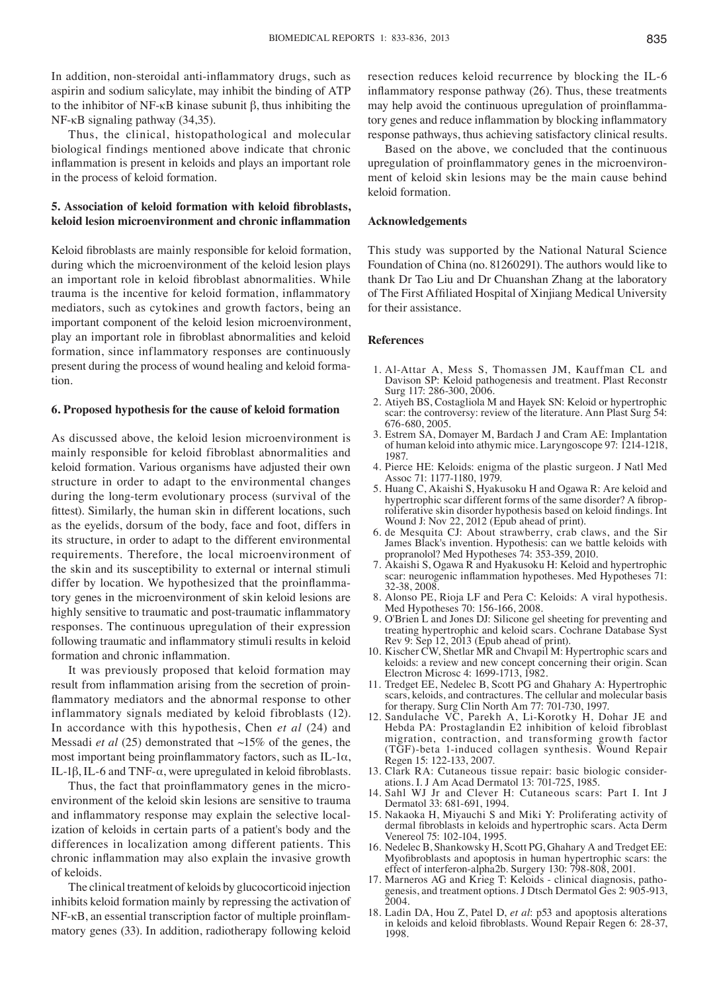In addition, non-steroidal anti-inflammatory drugs, such as aspirin and sodium salicylate, may inhibit the binding of ATP to the inhibitor of NF-κB kinase subunit β, thus inhibiting the NF-κB signaling pathway (34,35).

Thus, the clinical, histopathological and molecular biological findings mentioned above indicate that chronic inflammation is present in keloids and plays an important role in the process of keloid formation.

## **5. Association of keloid formation with keloid fibroblasts, keloid lesion microenvironment and chronic inflammation**

Keloid fibroblasts are mainly responsible for keloid formation, during which the microenvironment of the keloid lesion plays an important role in keloid fibroblast abnormalities. While trauma is the incentive for keloid formation, inflammatory mediators, such as cytokines and growth factors, being an important component of the keloid lesion microenvironment, play an important role in fibroblast abnormalities and keloid formation, since inflammatory responses are continuously present during the process of wound healing and keloid formation.

#### **6. Proposed hypothesis for the cause of keloid formation**

As discussed above, the keloid lesion microenvironment is mainly responsible for keloid fibroblast abnormalities and keloid formation. Various organisms have adjusted their own structure in order to adapt to the environmental changes during the long-term evolutionary process (survival of the fittest). Similarly, the human skin in different locations, such as the eyelids, dorsum of the body, face and foot, differs in its structure, in order to adapt to the different environmental requirements. Therefore, the local microenvironment of the skin and its susceptibility to external or internal stimuli differ by location. We hypothesized that the proinflammatory genes in the microenvironment of skin keloid lesions are highly sensitive to traumatic and post-traumatic inflammatory responses. The continuous upregulation of their expression following traumatic and inflammatory stimuli results in keloid formation and chronic inflammation.

It was previously proposed that keloid formation may result from inflammation arising from the secretion of proinflammatory mediators and the abnormal response to other inflammatory signals mediated by keloid fibroblasts (12). In accordance with this hypothesis, Chen *et al* (24) and Messadi *et al* (25) demonstrated that ~15% of the genes, the most important being proinflammatory factors, such as IL-1α, IL-1β, IL-6 and TNF-α, were upregulated in keloid fibroblasts.

Thus, the fact that proinflammatory genes in the microenvironment of the keloid skin lesions are sensitive to trauma and inflammatory response may explain the selective localization of keloids in certain parts of a patient's body and the differences in localization among different patients. This chronic inflammation may also explain the invasive growth of keloids.

The clinical treatment of keloids by glucocorticoid injection inhibits keloid formation mainly by repressing the activation of NF-κB, an essential transcription factor of multiple proinflammatory genes (33). In addition, radiotherapy following keloid resection reduces keloid recurrence by blocking the IL-6 inflammatory response pathway (26). Thus, these treatments may help avoid the continuous upregulation of proinflammatory genes and reduce inflammation by blocking inflammatory response pathways, thus achieving satisfactory clinical results.

Based on the above, we concluded that the continuous upregulation of proinflammatory genes in the microenvironment of keloid skin lesions may be the main cause behind keloid formation.

#### **Acknowledgements**

This study was supported by the National Natural Science Foundation of China (no. 81260291). The authors would like to thank Dr Tao Liu and Dr Chuanshan Zhang at the laboratory of The First Affiliated Hospital of Xinjiang Medical University for their assistance.

#### **References**

- 1. Al-Attar A, Mess S, Thomassen JM, Kauffman CL and Davison SP: Keloid pathogenesis and treatment. Plast Reconstr Surg 117: 286-300, 2006.
- 2. Atiyeh BS, Costagliola M and Hayek SN: Keloid or hypertrophic scar: the controversy: review of the literature. Ann Plast Surg 54: 676-680, 2005.
- 3. Estrem SA, Domayer M, Bardach J and Cram AE: Implantation of human keloid into athymic mice. Laryngoscope 97: 1214-1218, 1987.
- 4. Pierce HE: Keloids: enigma of the plastic surgeon. J Natl Med Assoc 71: 1177-1180, 1979.
- 5. Huang C, Akaishi S, Hyakusoku H and Ogawa R: Are keloid and hypertrophic scar different forms of the same disorder? A fibroproliferative skin disorder hypothesis based on keloid findings. Int Wound J: Nov 22, 2012 (Epub ahead of print).
- 6. de Mesquita CJ: About strawberry, crab claws, and the Sir James Black's invention. Hypothesis: can we battle keloids with propranolol? Med Hypotheses 74: 353-359, 2010.
- 7. Akaishi S, Ogawa R and Hyakusoku H: Keloid and hypertrophic scar: neurogenic inflammation hypotheses. Med Hypotheses 71: 32-38, 2008.
- 8. Alonso PE, Rioja LF and Pera C: Keloids: A viral hypothesis. Med Hypotheses 70: 156-166, 2008.
- 9. O'Brien L and Jones DJ: Silicone gel sheeting for preventing and treating hypertrophic and keloid scars. Cochrane Database Syst Rev 9: Sep 12, 2013 (Epub ahead of print).
- 10. Kischer CW, Shetlar MR and Chvapil M: Hypertrophic scars and keloids: a review and new concept concerning their origin. Scan Electron Microsc 4: 1699-1713, 1982.
- 11. Tredget EE, Nedelec B, Scott PG and Ghahary A: Hypertrophic scars, keloids, and contractures. The cellular and molecular basis for therapy. Surg Clin North Am 77: 701-730, 1997.
- 12. Sandulache VC, Parekh A, Li-Korotky H, Dohar JE and Hebda PA: Prostaglandin E2 inhibition of keloid fibroblast migration, contraction, and transforming growth factor (TGF)-beta 1-induced collagen synthesis. Wound Repair Regen 15: 122-133, 2007.
- 13. Clark RA: Cutaneous tissue repair: basic biologic consider- ations. I. J Am Acad Dermatol 13: 701-725, 1985.
- 14. Sahl WJ Jr and Clever H: Cutaneous scars: Part I. Int J Dermatol 33: 681-691, 1994.
- 15. Nakaoka H, Miyauchi S and Miki Y: Proliferating activity of dermal fibroblasts in keloids and hypertrophic scars. Acta Derm Venereol 75: 102-104, 1995.
- 16. Nedelec B, Shankowsky H, Scott PG, Ghahary A and Tredget EE: Myofibroblasts and apoptosis in human hypertrophic scars: the effect of interferon-alpha2b. Surgery 130: 798-808, 2001.
- 17. Marneros AG and Krieg T: Keloids clinical diagnosis, pathogenesis, and treatment options. J Dtsch Dermatol Ges 2: 905-913, 2004.
- 18. Ladin DA, Hou Z, Patel D, *et al*: p53 and apoptosis alterations in keloids and keloid fibroblasts. Wound Repair Regen 6: 28-37, 1998.